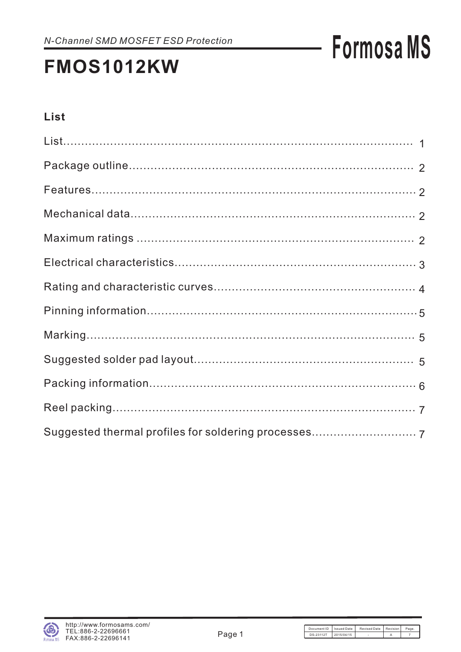# **Formosa MS**

## **FMOS1012KW**

## List

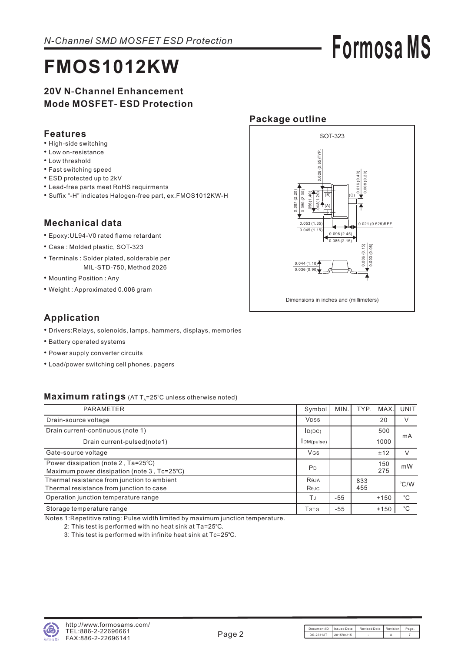# **Formosa MS**

**Package outline**

Dimensions in inches and (millimeters)

SOT-323

0.036 (0.90) 0.044 (1.10)

0.053 (1.35)  $0.045(1.15)$ 

.048(1.20) 0.026 (0.65)TYP.

026 (0.65)TYP.

(A) (B)

> 0.096 (2.45)  $\overline{0.085(2.15)}$

(C)

0.016 (0.40) 0.008 (0.20)

0.021 (0.525)REF.

0.006 (0.15) 0.003 (0.08)

 $.006(0.15)$  $0.003(0.08)$ 

0.087 (2.20)

 $0.087(2.20)$  $0.80(2,00)$ 

0.080 (2.00) .056(1.40)

## **20V N**-**Channel Enhancement Mode MOSFET**- **ESD Protection**

### **Features**

- High-side switching
- Low on-resistance
- Low threshold
- Fast switching speed
- ESD protected up to 2kV
- Lead-free parts meet RoHS requirments
- Suffix "-H" indicates Halogen-free part, ex.FMOS1012KW-H

## **Mechanical data**

- Epoxy:UL94-V0 rated flame retardant •
- Case : Molded plastic, SOT-323
- Terminals : Solder plated, solderable per MIL-STD-750, Method 2026
- Mounting Position : Any
- Weight : Approximated 0.006 gram



- Drivers:Relays, solenoids, lamps, hammers, displays, memories
- Battery operated systems
- Power supply converter circuits
- Load/power switching cell phones, pagers

### Maximum ratings (AT T<sub>A</sub>=25°C unless otherwise noted)

| <b>PARAMETER</b>                                                                        | Symbol                | MIN.  | TYP.       | <b>MAX</b> | UNIT          |
|-----------------------------------------------------------------------------------------|-----------------------|-------|------------|------------|---------------|
| Drain-source voltage                                                                    | <b>VDSS</b>           |       |            | 20         | V             |
| Drain current-continuous (note 1)                                                       | ID(DC)                |       |            | 500        | mA            |
| Drain current-pulsed(note1)                                                             | DM(pulse)             |       |            | 1000       |               |
| Gate-source voltage                                                                     | <b>VGS</b>            |       |            | ±12        | V             |
| Power dissipation (note 2, Ta=25°C)<br>Maximum power dissipation (note 3, Tc=25°C)      | <b>P</b> <sub>D</sub> |       |            | 150<br>275 | mW            |
| Thermal resistance from junction to ambient<br>Thermal resistance from junction to case | Reja<br>Rejc          |       | 833<br>455 |            | $\degree$ C/W |
| Operation junction temperature range                                                    | TJ                    | $-55$ |            | $+150$     | °С            |
| Storage temperature range                                                               | Tstg                  | $-55$ |            | $+150$     | $^{\circ}C$   |

Notes 1:Repetitive rating: Pulse width limited by maximum junction temperature.

2: This test is performed with no heat sink at Ta=25℃.

3: This test is performed with infinite heat sink at Tc=25℃.

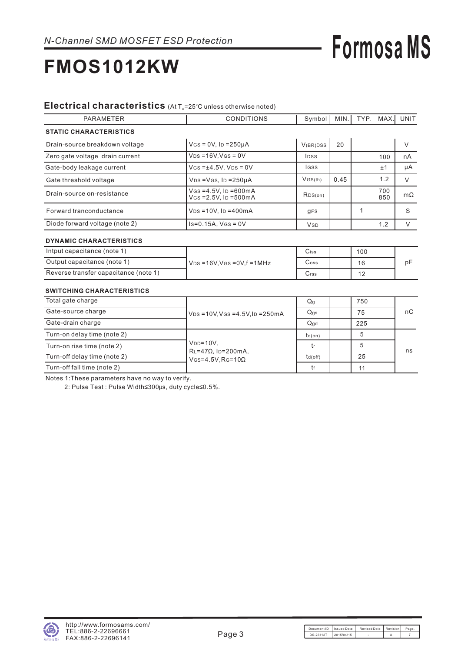# **Formosa MS**

### Electrical characteristics (At T<sub>A</sub>=25°C unless otherwise noted)

| <b>PARAMETER</b>                | <b>CONDITIONS</b>                                        | Symbol      | MIN. | TYP. | <b>MAX</b> | UNIT      |
|---------------------------------|----------------------------------------------------------|-------------|------|------|------------|-----------|
| <b>STATIC CHARACTERISTICS</b>   |                                                          |             |      |      |            |           |
| Drain-source breakdown voltage  | $V$ GS = 0V, ID = 250µA                                  | V(BR)DSS    | 20   |      |            | V         |
| Zero gate voltage drain current | $VDS = 16V$ , $VGS = 0V$                                 | <b>IDSS</b> |      |      | 100        | nA        |
| Gate-body leakage current       | $V$ GS = $\pm$ 4.5V, V <sub>DS</sub> = 0V                | lgss        |      |      | ±1         | μA        |
| Gate threshold voltage          | $VDS = VGS$ , $ID = 250\mu A$                            | VGS(th)     | 0.45 |      | 1.2        | $\vee$    |
| Drain-source on-resistance      | $V$ GS = 4.5V, ID = 600 mA<br>$V$ Gs = 2.5V. Ip = 500 mA | RDS(on)     |      |      | 700<br>850 | $m\Omega$ |
| Forward tranconductance         | $V_{DS} = 10V$ . Ip $= 400$ mA                           | <b>gFS</b>  |      |      |            | S         |
| Diode forward voltage (note 2)  | $Is=0.15A, VGS = 0V$                                     | <b>V</b> sp |      |      | 1.2        |           |

### **DYNAMIC CHARACTERISTICS**

| Intput capacitance (note 1)           |                            | Ciss | 100             |  |
|---------------------------------------|----------------------------|------|-----------------|--|
| Output capacitance (note 1)           | l Vps =16V.Vgs =0V.f =1MHz | Coss | 16              |  |
| Reverse transfer capacitance (note 1) |                            | Urss | $\sqrt{2}$<br>∠ |  |

### **SWITCHING CHARACTERISTICS**

| Total gate charge            |                                                           | Q <sub>g</sub> | 750 |    |
|------------------------------|-----------------------------------------------------------|----------------|-----|----|
| Gate-source charge           | $V_{DS} = 10V$ , VGS = 4.5V, ID = 250 mA                  | Qgs            | 75  | nC |
| Gate-drain charge            |                                                           | Qgd            | 225 |    |
| Turn-on delay time (note 2)  |                                                           | $td($ on $)$   | 5   |    |
| Turn-on rise time (note 2)   | $VDD=10V$ ,                                               |                | 5   |    |
| Turn-off delay time (note 2) | $RL = 47\Omega$ , ID=200mA,<br>$V$ GS=4.5V.RG=10 $\Omega$ | $td($ off $)$  | 25  | ns |
| Turn-off fall time (note 2)  |                                                           | tf             | 11  |    |

Notes 1:These parameters have no way to verify.

2: Pulse Test : Pulse Width≤300μs, duty cycle≤0.5%.

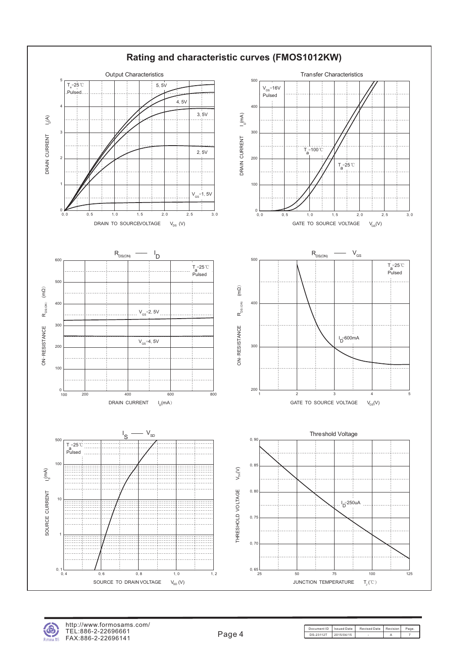



Document ID | Issued Date | Revised Date | Revision | Page DS-23112T 2015/04/15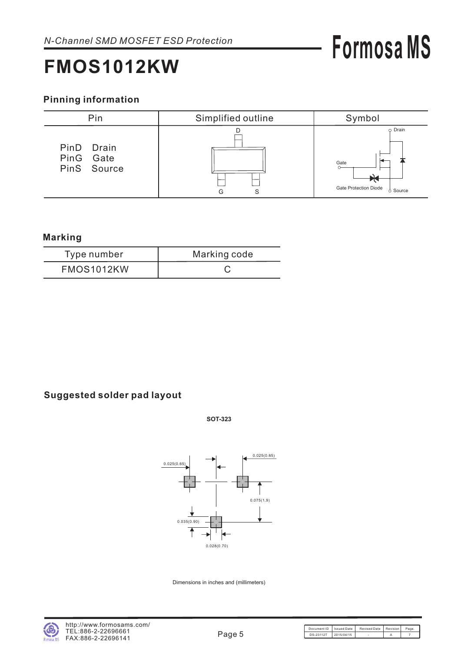# **Formosa MS**

## **Pinning information**



### **Marking**

| Type number       | Marking code |
|-------------------|--------------|
| <b>FMOS1012KW</b> |              |

## **Suggested solder pad layout**

**SOT-323**



Dimensions in inches and (millimeters)

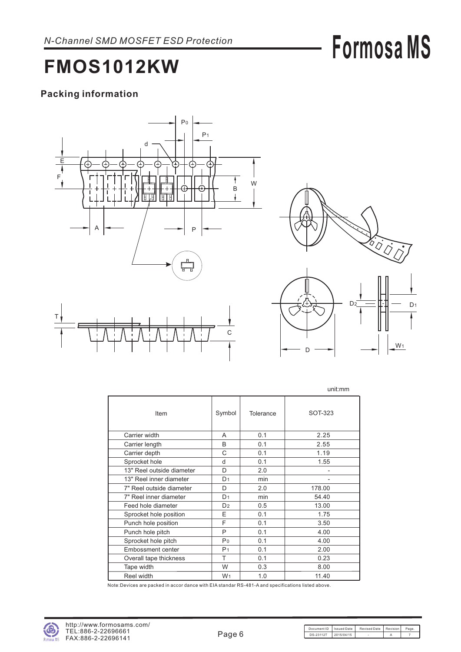# **Formosa MS**

## **FMOS1012KW**

## **Packing information**





W<sub>1</sub>

D

|                           |                |           | unit:mm |
|---------------------------|----------------|-----------|---------|
| Item                      | Symbol         | Tolerance | SOT-323 |
| Carrier width             | A              | 0.1       | 2.25    |
| Carrier length            | B              | 0.1       | 2.55    |
| Carrier depth             | C              | 0.1       | 1.19    |
| Sprocket hole             | d              | 0.1       | 1.55    |
| 13" Reel outside diameter | D              | 2.0       | -       |
| 13" Reel inner diameter   | D <sub>1</sub> | min       |         |
| 7" Reel outside diameter  | D              | 2.0       | 178.00  |
| 7" Reel inner diameter    | D <sub>1</sub> | min       | 54.40   |
| Feed hole diameter        | D <sub>2</sub> | 0.5       | 13.00   |
| Sprocket hole position    | F              | 0.1       | 1.75    |
| Punch hole position       | F              | 0.1       | 3.50    |
| Punch hole pitch          | P              | 0.1       | 4.00    |
| Sprocket hole pitch       | P <sub>0</sub> | 0.1       | 4.00    |
| Embossment center         | P <sub>1</sub> | 0.1       | 2.00    |
| Overall tape thickness    | T              | 0.1       | 0.23    |
| Tape width                | W              | 0.3       | 8.00    |
| Reel width                | W <sub>1</sub> | 1.0       | 11.40   |

Note:Devices are packed in accor dance with EIA standar RS-481-A and specifications listed above.